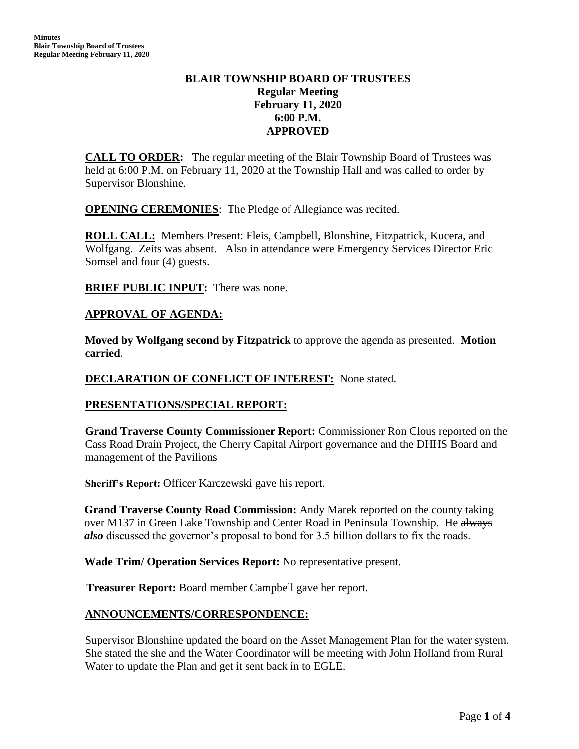# **BLAIR TOWNSHIP BOARD OF TRUSTEES Regular Meeting February 11, 2020 6:00 P.M. APPROVED**

**CALL TO ORDER:** The regular meeting of the Blair Township Board of Trustees was held at 6:00 P.M. on February 11, 2020 at the Township Hall and was called to order by Supervisor Blonshine.

**OPENING CEREMONIES:** The Pledge of Allegiance was recited.

**ROLL CALL:** Members Present: Fleis, Campbell, Blonshine, Fitzpatrick, Kucera, and Wolfgang. Zeits was absent. Also in attendance were Emergency Services Director Eric Somsel and four (4) guests.

**BRIEF PUBLIC INPUT:** There was none.

## **APPROVAL OF AGENDA:**

**Moved by Wolfgang second by Fitzpatrick** to approve the agenda as presented. **Motion carried**.

#### **DECLARATION OF CONFLICT OF INTEREST:** None stated.

## **PRESENTATIONS/SPECIAL REPORT:**

**Grand Traverse County Commissioner Report:** Commissioner Ron Clous reported on the Cass Road Drain Project, the Cherry Capital Airport governance and the DHHS Board and management of the Pavilions

**Sheriff's Report:** Officer Karczewski gave his report.

**Grand Traverse County Road Commission:** Andy Marek reported on the county taking over M137 in Green Lake Township and Center Road in Peninsula Township. He always *also* discussed the governor's proposal to bond for 3.5 billion dollars to fix the roads.

**Wade Trim/ Operation Services Report:** No representative present.

 **Treasurer Report:** Board member Campbell gave her report.

## **ANNOUNCEMENTS/CORRESPONDENCE:**

Supervisor Blonshine updated the board on the Asset Management Plan for the water system. She stated the she and the Water Coordinator will be meeting with John Holland from Rural Water to update the Plan and get it sent back in to EGLE.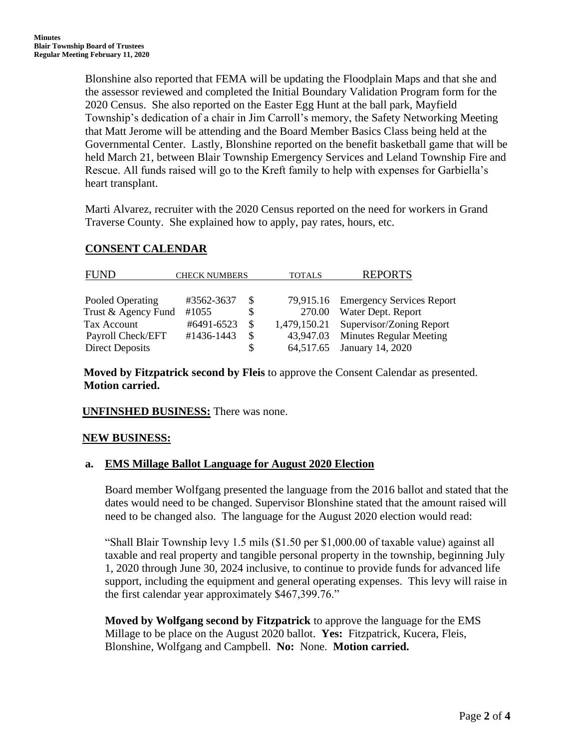Blonshine also reported that FEMA will be updating the Floodplain Maps and that she and the assessor reviewed and completed the Initial Boundary Validation Program form for the 2020 Census. She also reported on the Easter Egg Hunt at the ball park, Mayfield Township's dedication of a chair in Jim Carroll's memory, the Safety Networking Meeting that Matt Jerome will be attending and the Board Member Basics Class being held at the Governmental Center. Lastly, Blonshine reported on the benefit basketball game that will be held March 21, between Blair Township Emergency Services and Leland Township Fire and Rescue. All funds raised will go to the Kreft family to help with expenses for Garbiella's heart transplant.

Marti Alvarez, recruiter with the 2020 Census reported on the need for workers in Grand Traverse County. She explained how to apply, pay rates, hours, etc.

## **CONSENT CALENDAR**

| FUND                   | <b>CHECK NUMBERS</b> |    | <b>TOTALS</b> | <b>REPORTS</b>                      |
|------------------------|----------------------|----|---------------|-------------------------------------|
|                        |                      |    |               |                                     |
| Pooled Operating       | #3562-3637           | -8 |               | 79,915.16 Emergency Services Report |
| Trust & Agency Fund    | #1055                | S  | 270.00        | Water Dept. Report                  |
| Tax Account            | #6491-6523           |    | 1,479,150.21  | Supervisor/Zoning Report            |
| Payroll Check/EFT      | #1436-1443           | -S |               | 43,947.03 Minutes Regular Meeting   |
| <b>Direct Deposits</b> |                      | S  | 64,517.65     | January 14, 2020                    |

**Moved by Fitzpatrick second by Fleis** to approve the Consent Calendar as presented. **Motion carried.**

## **UNFINSHED BUSINESS:** There was none.

## **NEW BUSINESS:**

## **a. EMS Millage Ballot Language for August 2020 Election**

Board member Wolfgang presented the language from the 2016 ballot and stated that the dates would need to be changed. Supervisor Blonshine stated that the amount raised will need to be changed also. The language for the August 2020 election would read:

"Shall Blair Township levy 1.5 mils (\$1.50 per \$1,000.00 of taxable value) against all taxable and real property and tangible personal property in the township, beginning July 1, 2020 through June 30, 2024 inclusive, to continue to provide funds for advanced life support, including the equipment and general operating expenses. This levy will raise in the first calendar year approximately \$467,399.76."

**Moved by Wolfgang second by Fitzpatrick** to approve the language for the EMS Millage to be place on the August 2020 ballot. **Yes:** Fitzpatrick, Kucera, Fleis, Blonshine, Wolfgang and Campbell. **No:** None. **Motion carried.**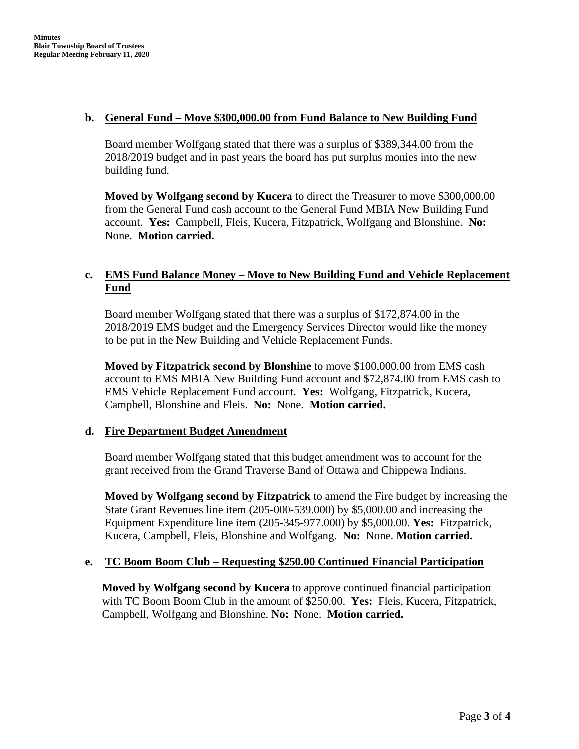#### **b. General Fund – Move \$300,000.00 from Fund Balance to New Building Fund**

Board member Wolfgang stated that there was a surplus of \$389,344.00 from the 2018/2019 budget and in past years the board has put surplus monies into the new building fund.

**Moved by Wolfgang second by Kucera** to direct the Treasurer to move \$300,000.00 from the General Fund cash account to the General Fund MBIA New Building Fund account. **Yes:** Campbell, Fleis, Kucera, Fitzpatrick, Wolfgang and Blonshine. **No:** None. **Motion carried.**

# **c. EMS Fund Balance Money – Move to New Building Fund and Vehicle Replacement Fund**

Board member Wolfgang stated that there was a surplus of \$172,874.00 in the 2018/2019 EMS budget and the Emergency Services Director would like the money to be put in the New Building and Vehicle Replacement Funds.

**Moved by Fitzpatrick second by Blonshine** to move \$100,000.00 from EMS cash account to EMS MBIA New Building Fund account and \$72,874.00 from EMS cash to EMS Vehicle Replacement Fund account. **Yes:** Wolfgang, Fitzpatrick, Kucera, Campbell, Blonshine and Fleis. **No:** None. **Motion carried.**

## **d. Fire Department Budget Amendment**

Board member Wolfgang stated that this budget amendment was to account for the grant received from the Grand Traverse Band of Ottawa and Chippewa Indians.

**Moved by Wolfgang second by Fitzpatrick** to amend the Fire budget by increasing the State Grant Revenues line item (205-000-539.000) by \$5,000.00 and increasing the Equipment Expenditure line item (205-345-977.000) by \$5,000.00. **Yes:** Fitzpatrick, Kucera, Campbell, Fleis, Blonshine and Wolfgang. **No:** None. **Motion carried.**

## **e. TC Boom Boom Club – Requesting \$250.00 Continued Financial Participation**

**Moved by Wolfgang second by Kucera** to approve continued financial participation with TC Boom Boom Club in the amount of \$250.00. **Yes:** Fleis, Kucera, Fitzpatrick, Campbell, Wolfgang and Blonshine. **No:** None. **Motion carried.**